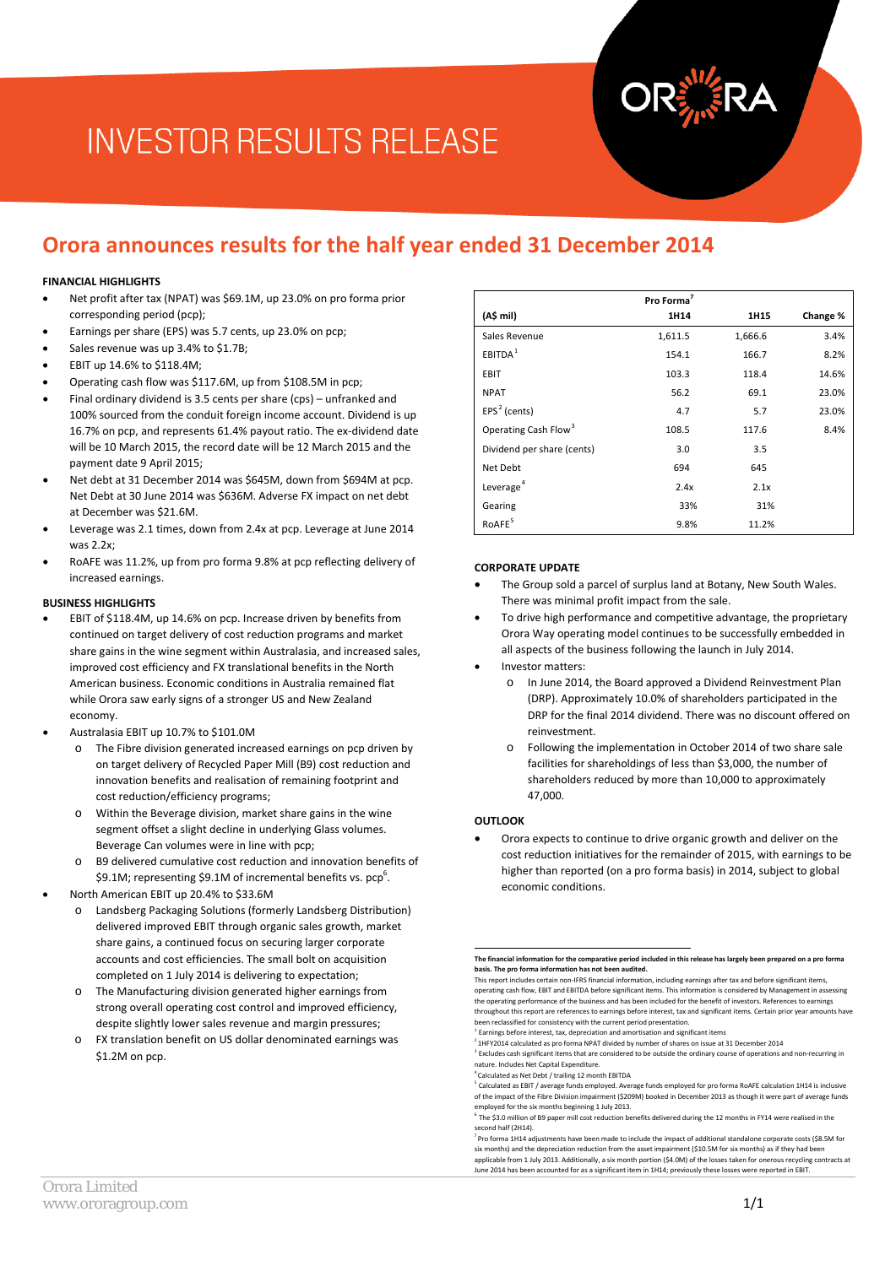# **INVESTOR RESULTS RELEASE**

### **Orora announces results for the half year ended 31 December 2014**

#### **FINANCIAL HIGHLIGHTS**

- Net profit after tax (NPAT) was \$69.1M, up 23.0% on pro forma prior corresponding period (pcp);
- Earnings per share (EPS) was 5.7 cents, up 23.0% on pcp;
- Sales revenue was up 3.4% to \$1.7B;
- EBIT up 14.6% to \$118.4M;
- Operating cash flow was \$117.6M, up from \$108.5M in pcp;
- Final ordinary dividend is 3.5 cents per share (cps) unfranked and 100% sourced from the conduit foreign income account. Dividend is up 16.7% on pcp, and represents 61.4% payout ratio. The ex-dividend date will be 10 March 2015, the record date will be 12 March 2015 and the payment date 9 April 2015;
- Net debt at 31 December 2014 was \$645M, down from \$694M at pcp. Net Debt at 30 June 2014 was \$636M. Adverse FX impact on net debt at December was \$21.6M.
- Leverage was 2.1 times, down from 2.4x at pcp. Leverage at June 2014 was 2.2x;
- RoAFE was 11.2%, up from pro forma 9.8% at pcp reflecting delivery of increased earnings.

#### **BUSINESS HIGHLIGHTS**

- EBIT of \$118.4M, up 14.6% on pcp. Increase driven by benefits from continued on target delivery of cost reduction programs and market share gains in the wine segment within Australasia, and increased sales, improved cost efficiency and FX translational benefits in the North American business. Economic conditions in Australia remained flat while Orora saw early signs of a stronger US and New Zealand economy.
- Australasia EBIT up 10.7% to \$101.0M
	- o The Fibre division generated increased earnings on pcp driven by on target delivery of Recycled Paper Mill (B9) cost reduction and innovation benefits and realisation of remaining footprint and cost reduction/efficiency programs;
	- o Within the Beverage division, market share gains in the wine segment offset a slight decline in underlying Glass volumes. Beverage Can volumes were in line with pcp;
	- o B9 delivered cumulative cost reduction and innovation benefits of \$9.1M; representing \$9.1M of incremental benefits vs. pcp<sup>6</sup>.
- <span id="page-0-4"></span><span id="page-0-3"></span><span id="page-0-2"></span><span id="page-0-1"></span><span id="page-0-0"></span>• North American EBIT up 20.4% to \$33.6M
	- Landsberg Packaging Solutions (formerly Landsberg Distribution) delivered improved EBIT through organic sales growth, market share gains, a continued focus on securing larger corporate accounts and cost efficiencies. The small bolt on acquisition completed on 1 July 2014 is delivering to expectation;
	- The Manufacturing division generated higher earnings from strong overall operating cost control and improved efficiency, despite slightly lower sales revenue and margin pressures;
	- o FX translation benefit on US dollar denominated earnings was \$1.2M on pcp.

|                                  | Pro Forma <sup>7</sup> |         |          |
|----------------------------------|------------------------|---------|----------|
| (A\$ mil)                        | 1H14                   | 1H15    | Change % |
| Sales Revenue                    | 1,611.5                | 1,666.6 | 3.4%     |
| EBITDA <sup>1</sup>              | 154.1                  | 166.7   | 8.2%     |
| EBIT                             | 103.3                  | 118.4   | 14.6%    |
| <b>NPAT</b>                      | 56.2                   | 69.1    | 23.0%    |
| $EPS2$ (cents)                   | 4.7                    | 5.7     | 23.0%    |
| Operating Cash Flow <sup>3</sup> | 108.5                  | 117.6   | 8.4%     |
| Dividend per share (cents)       | 3.0                    | 3.5     |          |
| Net Debt                         | 694                    | 645     |          |
| Leverage <sup>4</sup>            | 2.4x                   | 2.1x    |          |
| Gearing                          | 33%                    | 31%     |          |
| RoAFE <sup>5</sup>               | 9.8%                   | 11.2%   |          |

#### **CORPORATE UPDATE**

- The Group sold a parcel of surplus land at Botany, New South Wales. There was minimal profit impact from the sale.
- To drive high performance and competitive advantage, the proprietary Orora Way operating model continues to be successfully embedded in all aspects of the business following the launch in July 2014.
- Investor matters:
	- o In June 2014, the Board approved a Dividend Reinvestment Plan (DRP). Approximately 10.0% of shareholders participated in the DRP for the final 2014 dividend. There was no discount offered on reinvestment.
	- o Following the implementation in October 2014 of two share sale facilities for shareholdings of less than \$3,000, the number of shareholders reduced by more than 10,000 to approximately 47,000.

#### **OUTLOOK**

• Orora expects to continue to drive organic growth and deliver on the cost reduction initiatives for the remainder of 2015, with earnings to be higher than reported (on a pro forma basis) in 2014, subject to global economic conditions.

4 Calculated as Net Debt / trailing 12 month EBITDA

**The financial information for the comparative period included in this release has largely been prepared on a pro forma basis. The pro forma information has not been audited.** 

This report includes certain non-IFRS financial information, including earnings after tax and before significant items, operating cash flow, EBIT and EBITDA before significant items. This information is considered by Management in assessing<br>the operating performance of the business and has been included for the benefit of investors. Referen

throughout this report are references to earnings before interest, tax and significant items. Certain prior year amounts have been reclassified for consistency with the current period presentation.  $1$  Earnings before interest, tax, depreciation and amortisation and significant items

 $2$  1HFY2014 calculated as pro forma NPAT divided by number of shares on issue at 31 December 2014

<sup>3</sup> Excludes cash significant items that are considered to be outside the ordinary course of operations and non-recurring in nature. Includes Net Capital Expenditure.

<sup>5</sup> Calculated as EBIT / average funds employed. Average funds employed for pro forma RoAFE calculation 1H14 is inclusive of the impact of the Fibre Division impairment (\$209M) booked in December 2013 as though it were part of average funds employed for the six months beginning 1 July 2013.

 $6$  The \$3.0 million of B9 paper mill cost reduction benefits delivered during the 12 months in FY14 were realised in the second half (2H14).

<sup>7</sup> Pro forma 1H14 adjustments have been made to include the impact of additional standalone corporate costs (\$8.5M for six months) and the depreciation reduction from the asset impairment (\$10.5M for six months) as if they had been applicable from 1 July 2013. Additionally, a six month portion (\$4.0M) of the losses taken for onerous recycling contracts at June 2014 has been accounted for as a significant item in 1H14; previously these losses were reported in EBIT.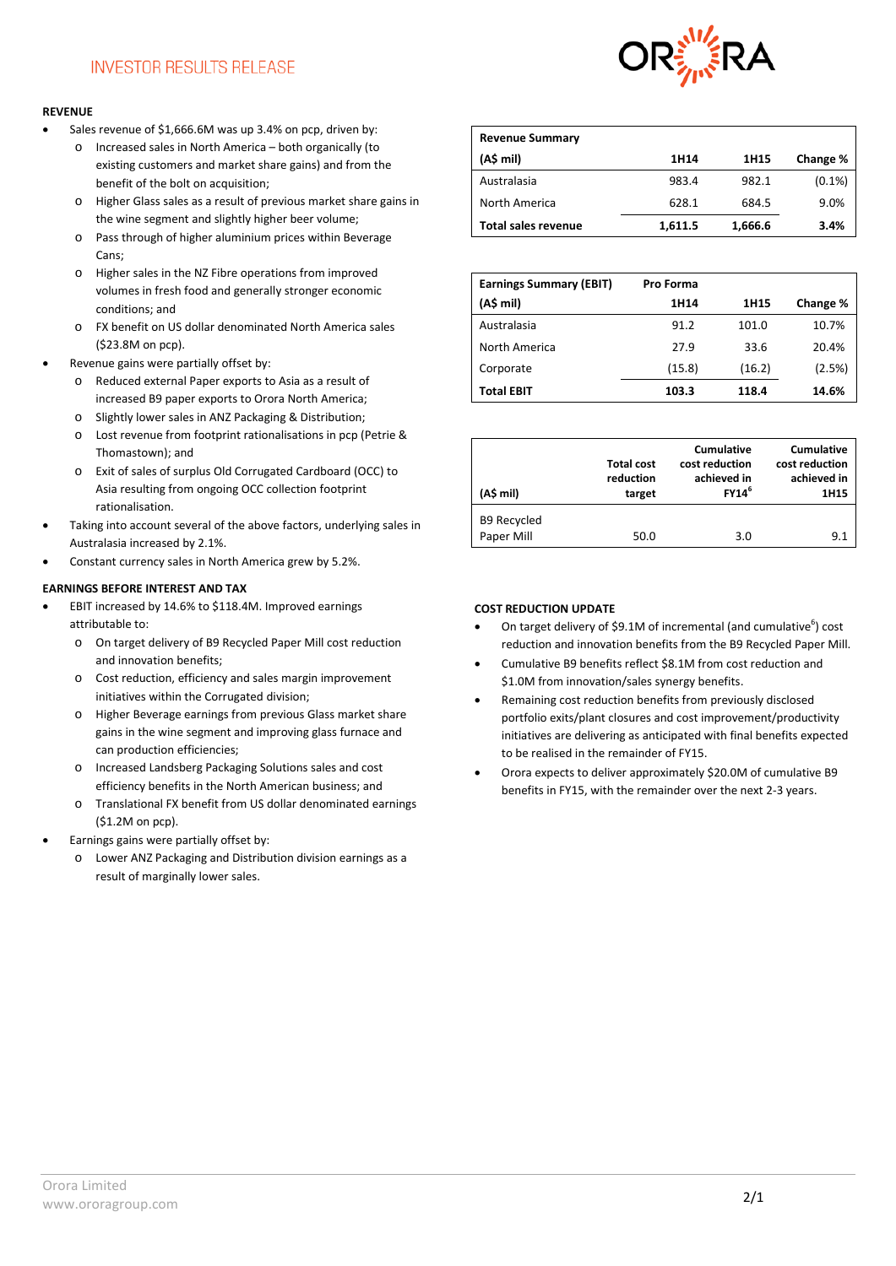#### **REVENUE**

- Sales revenue of \$1,666.6M was up 3.4% on pcp, driven by:
	- o Increased sales in North America both organically (to existing customers and market share gains) and from the benefit of the bolt on acquisition;
	- o Higher Glass sales as a result of previous market share gains in the wine segment and slightly higher beer volume;
	- o Pass through of higher aluminium prices within Beverage Cans;
	- o Higher sales in the NZ Fibre operations from improved volumes in fresh food and generally stronger economic conditions; and
	- o FX benefit on US dollar denominated North America sales (\$23.8M on pcp).
- Revenue gains were partially offset by:
	- o Reduced external Paper exports to Asia as a result of increased B9 paper exports to Orora North America;
	- o Slightly lower sales in ANZ Packaging & Distribution;
	- o Lost revenue from footprint rationalisations in pcp (Petrie & Thomastown); and
	- o Exit of sales of surplus Old Corrugated Cardboard (OCC) to Asia resulting from ongoing OCC collection footprint rationalisation.
- Taking into account several of the above factors, underlying sales in Australasia increased by 2.1%.
- Constant currency sales in North America grew by 5.2%.

#### **EARNINGS BEFORE INTEREST AND TAX**

- EBIT increased by 14.6% to \$118.4M. Improved earnings attributable to:
	- o On target delivery of B9 Recycled Paper Mill cost reduction and innovation benefits;
	- o Cost reduction, efficiency and sales margin improvement initiatives within the Corrugated division;
	- o Higher Beverage earnings from previous Glass market share gains in the wine segment and improving glass furnace and can production efficiencies;
	- o Increased Landsberg Packaging Solutions sales and cost efficiency benefits in the North American business; and
	- o Translational FX benefit from US dollar denominated earnings (\$1.2M on pcp).
	- Earnings gains were partially offset by:
	- o Lower ANZ Packaging and Distribution division earnings as a result of marginally lower sales.



| <b>Revenue Summary</b>     |         |         |           |
|----------------------------|---------|---------|-----------|
| (A\$ mil)                  | 1H14    | 1H15    | Change %  |
| Australasia                | 983.4   | 982.1   | $(0.1\%)$ |
| North America              | 628.1   | 684.5   | 9.0%      |
| <b>Total sales revenue</b> | 1,611.5 | 1,666.6 | 3.4%      |

| <b>Earnings Summary (EBIT)</b> | Pro Forma |        |          |
|--------------------------------|-----------|--------|----------|
| (A\$ mil)                      | 1H14      | 1H15   | Change % |
| Australasia                    | 91.2      | 101.0  | 10.7%    |
| North America                  | 27.9      | 33.6   | 20.4%    |
| Corporate                      | (15.8)    | (16.2) | (2.5%)   |
| <b>Total EBIT</b>              | 103.3     | 118.4  | 14.6%    |

| (A\$ mil)                        | <b>Total cost</b><br>reduction<br>target | <b>Cumulative</b><br>cost reduction<br>achieved in<br>FY14 <sup>6</sup> | <b>Cumulative</b><br>cost reduction<br>achieved in<br>1H15 |
|----------------------------------|------------------------------------------|-------------------------------------------------------------------------|------------------------------------------------------------|
| <b>B9 Recycled</b><br>Paper Mill | 50.0                                     | 3.0                                                                     | 9.1                                                        |

#### **COST REDUCTION UPDATE**

- On target delivery of \$9.1M of incremental (and cumulative<sup>6</sup>) cost reduction and innovation benefits from the B9 Recycled Paper Mill.
- Cumulative B9 benefits reflect \$8.1M from cost reduction and \$1.0M from innovation/sales synergy benefits.
- Remaining cost reduction benefits from previously disclosed portfolio exits/plant closures and cost improvement/productivity initiatives are delivering as anticipated with final benefits expected to be realised in the remainder of FY15.
- Orora expects to deliver approximately \$20.0M of cumulative B9 benefits in FY15, with the remainder over the next 2-3 years.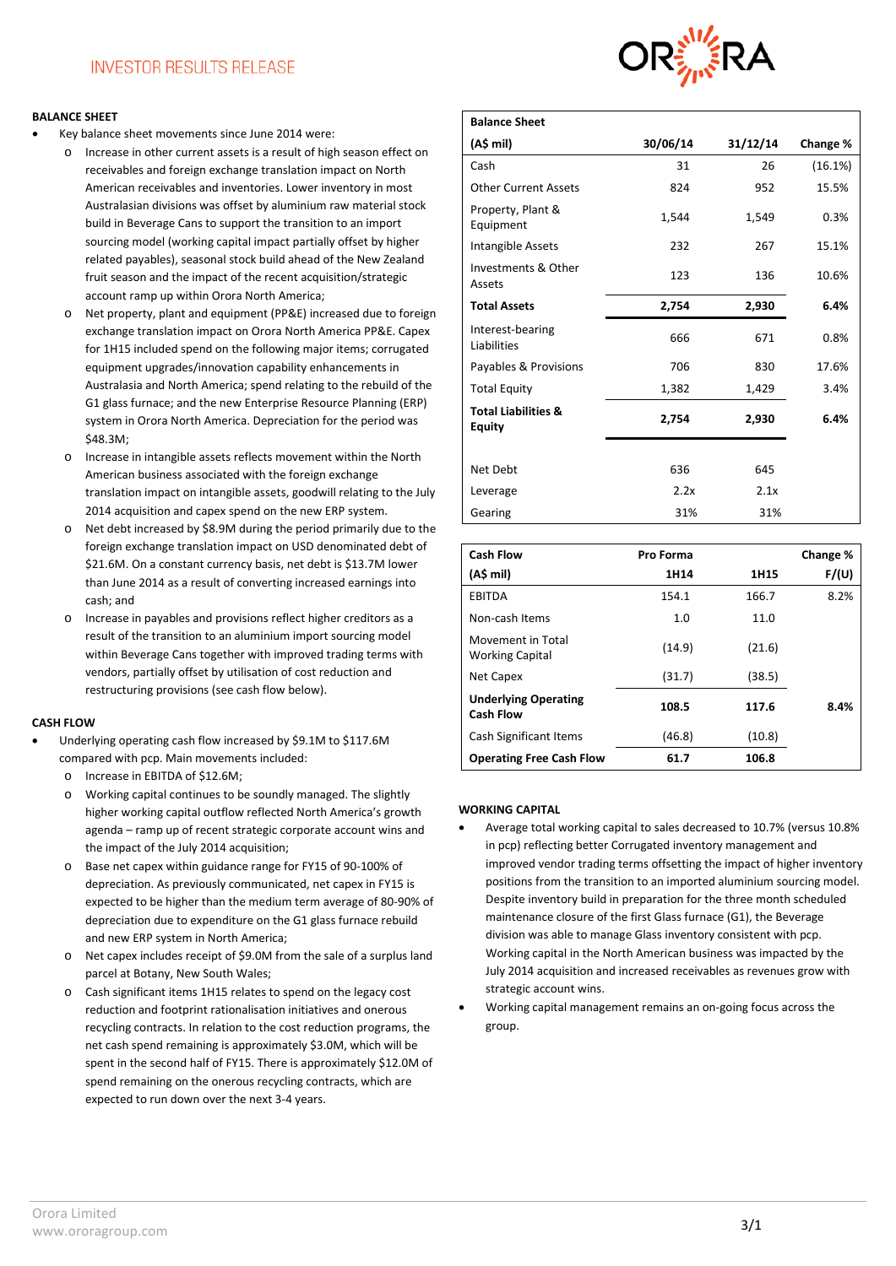#### **BALANCE SHEET**

- Key balance sheet movements since June 2014 were:
	- o Increase in other current assets is a result of high season effect on receivables and foreign exchange translation impact on North American receivables and inventories. Lower inventory in most Australasian divisions was offset by aluminium raw material stock build in Beverage Cans to support the transition to an import sourcing model (working capital impact partially offset by higher related payables), seasonal stock build ahead of the New Zealand fruit season and the impact of the recent acquisition/strategic account ramp up within Orora North America;
	- o Net property, plant and equipment (PP&E) increased due to foreign exchange translation impact on Orora North America PP&E. Capex for 1H15 included spend on the following major items; corrugated equipment upgrades/innovation capability enhancements in Australasia and North America; spend relating to the rebuild of the G1 glass furnace; and the new Enterprise Resource Planning (ERP) system in Orora North America. Depreciation for the period was \$48.3M;
	- o Increase in intangible assets reflects movement within the North American business associated with the foreign exchange translation impact on intangible assets, goodwill relating to the July 2014 acquisition and capex spend on the new ERP system.
	- o Net debt increased by \$8.9M during the period primarily due to the foreign exchange translation impact on USD denominated debt of \$21.6M. On a constant currency basis, net debt is \$13.7M lower than June 2014 as a result of converting increased earnings into cash; and
	- o Increase in payables and provisions reflect higher creditors as a result of the transition to an aluminium import sourcing model within Beverage Cans together with improved trading terms with vendors, partially offset by utilisation of cost reduction and restructuring provisions (see cash flow below).

#### **CASH FLOW**

- Underlying operating cash flow increased by \$9.1M to \$117.6M compared with pcp. Main movements included:
	- o Increase in EBITDA of \$12.6M;
	- o Working capital continues to be soundly managed. The slightly higher working capital outflow reflected North America's growth agenda – ramp up of recent strategic corporate account wins and the impact of the July 2014 acquisition;
	- o Base net capex within guidance range for FY15 of 90-100% of depreciation. As previously communicated, net capex in FY15 is expected to be higher than the medium term average of 80-90% of depreciation due to expenditure on the G1 glass furnace rebuild and new ERP system in North America;
	- o Net capex includes receipt of \$9.0M from the sale of a surplus land parcel at Botany, New South Wales;
	- o Cash significant items 1H15 relates to spend on the legacy cost reduction and footprint rationalisation initiatives and onerous recycling contracts. In relation to the cost reduction programs, the net cash spend remaining is approximately \$3.0M, which will be spent in the second half of FY15. There is approximately \$12.0M of spend remaining on the onerous recycling contracts, which are expected to run down over the next 3-4 years.



| <b>Balance Sheet</b>                            |          |          |          |
|-------------------------------------------------|----------|----------|----------|
| (A\$ mil)                                       | 30/06/14 | 31/12/14 | Change % |
| Cash                                            | 31       | 26       | (16.1%)  |
| <b>Other Current Assets</b>                     | 824      | 952      | 15.5%    |
| Property, Plant &<br>Equipment                  | 1,544    | 1,549    | 0.3%     |
| Intangible Assets                               | 232      | 267      | 15.1%    |
| Investments & Other<br>Assets                   | 123      | 136      | 10.6%    |
| <b>Total Assets</b>                             | 2,754    | 2,930    | 6.4%     |
| Interest-bearing<br>Liabilities                 | 666      | 671      | 0.8%     |
| Payables & Provisions                           | 706      | 830      | 17.6%    |
| <b>Total Equity</b>                             | 1,382    | 1,429    | 3.4%     |
| <b>Total Liabilities &amp;</b><br><b>Equity</b> | 2,754    | 2,930    | 6.4%     |
|                                                 |          |          |          |
| Net Debt                                        | 636      | 645      |          |
| Leverage                                        | 2.2x     | 2.1x     |          |
| Gearing                                         | 31%      | 31%      |          |

| <b>Cash Flow</b>                                | Pro Forma |        | Change % |
|-------------------------------------------------|-----------|--------|----------|
| (AS mil)                                        | 1H14      | 1H15   | F/(U)    |
| <b>EBITDA</b>                                   | 154.1     | 166.7  | 8.2%     |
| Non-cash Items                                  | 1.0       | 11.0   |          |
| Movement in Total<br><b>Working Capital</b>     | (14.9)    | (21.6) |          |
| Net Capex                                       | (31.7)    | (38.5) |          |
| <b>Underlying Operating</b><br><b>Cash Flow</b> | 108.5     | 117.6  | 8.4%     |
| Cash Significant Items                          | (46.8)    | (10.8) |          |
| <b>Operating Free Cash Flow</b>                 | 61.7      | 106.8  |          |

#### **WORKING CAPITAL**

- Average total working capital to sales decreased to 10.7% (versus 10.8% in pcp) reflecting better Corrugated inventory management and improved vendor trading terms offsetting the impact of higher inventory positions from the transition to an imported aluminium sourcing model. Despite inventory build in preparation for the three month scheduled maintenance closure of the first Glass furnace (G1), the Beverage division was able to manage Glass inventory consistent with pcp. Working capital in the North American business was impacted by the July 2014 acquisition and increased receivables as revenues grow with strategic account wins.
- Working capital management remains an on-going focus across the group.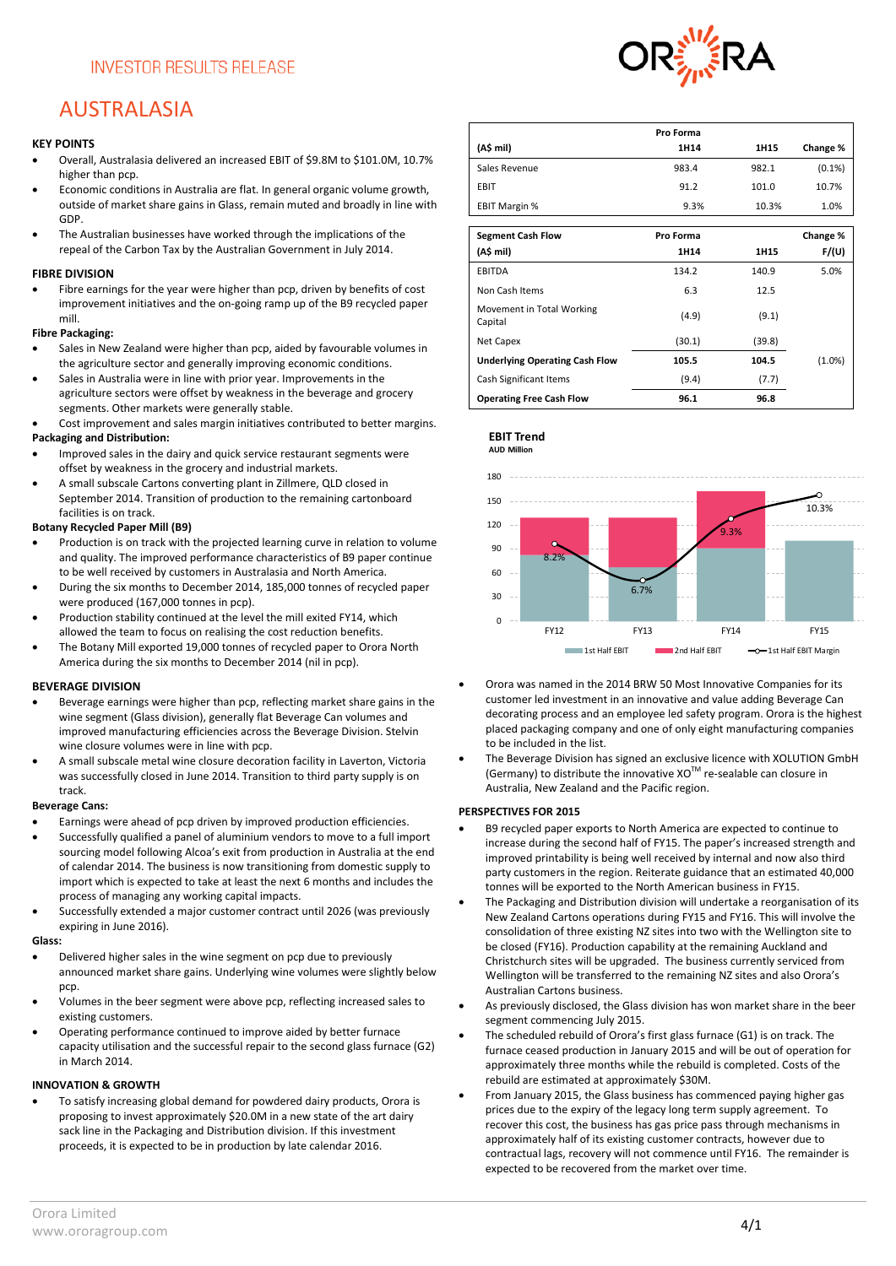### AUSTRALASIA

#### **KEY POINTS**

- Overall, Australasia delivered an increased EBIT of \$9.8M to \$101.0M, 10.7% higher than pcp.
- Economic conditions in Australia are flat. In general organic volume growth, outside of market share gains in Glass, remain muted and broadly in line with GDP.
- The Australian businesses have worked through the implications of the repeal of the Carbon Tax by the Australian Government in July 2014.

#### **FIBRE DIVISION**

Fibre earnings for the year were higher than pcp, driven by benefits of cost improvement initiatives and the on-going ramp up of the B9 recycled paper mill.

#### **Fibre Packaging:**

- Sales in New Zealand were higher than pcp, aided by favourable volumes in the agriculture sector and generally improving economic conditions.
- Sales in Australia were in line with prior year. Improvements in the agriculture sectors were offset by weakness in the beverage and grocery segments. Other markets were generally stable.
- Cost improvement and sales margin initiatives contributed to better margins. **Packaging and Distribution:**
- Improved sales in the dairy and quick service restaurant segments were offset by weakness in the grocery and industrial markets.
- A small subscale Cartons converting plant in Zillmere, QLD closed in September 2014. Transition of production to the remaining cartonboard facilities is on track.

#### **Botany Recycled Paper Mill (B9)**

- Production is on track with the projected learning curve in relation to volume and quality. The improved performance characteristics of B9 paper continue to be well received by customers in Australasia and North America.
- During the six months to December 2014, 185,000 tonnes of recycled paper were produced (167,000 tonnes in pcp).
- Production stability continued at the level the mill exited FY14, which allowed the team to focus on realising the cost reduction benefits.
- The Botany Mill exported 19,000 tonnes of recycled paper to Orora North America during the six months to December 2014 (nil in pcp).

#### **BEVERAGE DIVISION**

- Beverage earnings were higher than pcp, reflecting market share gains in the wine segment (Glass division), generally flat Beverage Can volumes and improved manufacturing efficiencies across the Beverage Division. Stelvin wine closure volumes were in line with pcp.
- A small subscale metal wine closure decoration facility in Laverton, Victoria was successfully closed in June 2014. Transition to third party supply is on track.

#### **Beverage Cans:**

- Earnings were ahead of pcp driven by improved production efficiencies.
- Successfully qualified a panel of aluminium vendors to move to a full import sourcing model following Alcoa's exit from production in Australia at the end of calendar 2014. The business is now transitioning from domestic supply to import which is expected to take at least the next 6 months and includes the process of managing any working capital impacts.
- Successfully extended a major customer contract until 2026 (was previously expiring in June 2016).

#### **Glass:**

- Delivered higher sales in the wine segment on pcp due to previously announced market share gains. Underlying wine volumes were slightly below pcp.
- Volumes in the beer segment were above pcp, reflecting increased sales to existing customers.
- Operating performance continued to improve aided by better furnace capacity utilisation and the successful repair to the second glass furnace (G2) in March 2014.

#### **INNOVATION & GROWTH**

• To satisfy increasing global demand for powdered dairy products, Orora is proposing to invest approximately \$20.0M in a new state of the art dairy sack line in the Packaging and Distribution division. If this investment proceeds, it is expected to be in production by late calendar 2016.



|                                       | Pro Forma |        |           |
|---------------------------------------|-----------|--------|-----------|
| (A\$ mil)                             | 1H14      | 1H15   | Change %  |
| Sales Revenue                         | 983.4     | 982.1  | (0.1%)    |
| EBIT                                  | 91.2      | 101.0  | 10.7%     |
| <b>EBIT Margin %</b>                  | 9.3%      | 10.3%  | 1.0%      |
|                                       |           |        |           |
| <b>Segment Cash Flow</b>              | Pro Forma |        | Change %  |
| (A\$ mil)                             | 1H14      | 1H15   | F/(U)     |
| <b>EBITDA</b>                         | 134.2     | 140.9  | 5.0%      |
| Non Cash Items                        | 6.3       | 12.5   |           |
| Movement in Total Working<br>Capital  | (4.9)     | (9.1)  |           |
| Net Capex                             | (30.1)    | (39.8) |           |
| <b>Underlying Operating Cash Flow</b> | 105.5     | 104.5  | $(1.0\%)$ |
| Cash Significant Items                | (9.4)     | (7.7)  |           |
| <b>Operating Free Cash Flow</b>       | 96.1      | 96.8   |           |



- Orora was named in the 2014 BRW 50 Most Innovative Companies for its customer led investment in an innovative and value adding Beverage Can decorating process and an employee led safety program. Orora is the highest placed packaging company and one of only eight manufacturing companies to be included in the list.
- The Beverage Division has signed an exclusive licence with XOLUTION GmbH (Germany) to distribute the innovative XOTM re-sealable can closure in Australia, New Zealand and the Pacific region.

#### **PERSPECTIVES FOR 2015**

**EBIT Trend**

- B9 recycled paper exports to North America are expected to continue to increase during the second half of FY15. The paper's increased strength and improved printability is being well received by internal and now also third party customers in the region. Reiterate guidance that an estimated 40,000 tonnes will be exported to the North American business in FY15.
- The Packaging and Distribution division will undertake a reorganisation of its New Zealand Cartons operations during FY15 and FY16. This will involve the consolidation of three existing NZ sites into two with the Wellington site to be closed (FY16). Production capability at the remaining Auckland and Christchurch sites will be upgraded. The business currently serviced from Wellington will be transferred to the remaining NZ sites and also Orora's Australian Cartons business.
- As previously disclosed, the Glass division has won market share in the beer segment commencing July 2015.
- The scheduled rebuild of Orora's first glass furnace (G1) is on track. The furnace ceased production in January 2015 and will be out of operation for approximately three months while the rebuild is completed. Costs of the rebuild are estimated at approximately \$30M.
- From January 2015, the Glass business has commenced paying higher gas prices due to the expiry of the legacy long term supply agreement. To recover this cost, the business has gas price pass through mechanisms in approximately half of its existing customer contracts, however due to contractual lags, recovery will not commence until FY16. The remainder is expected to be recovered from the market over time.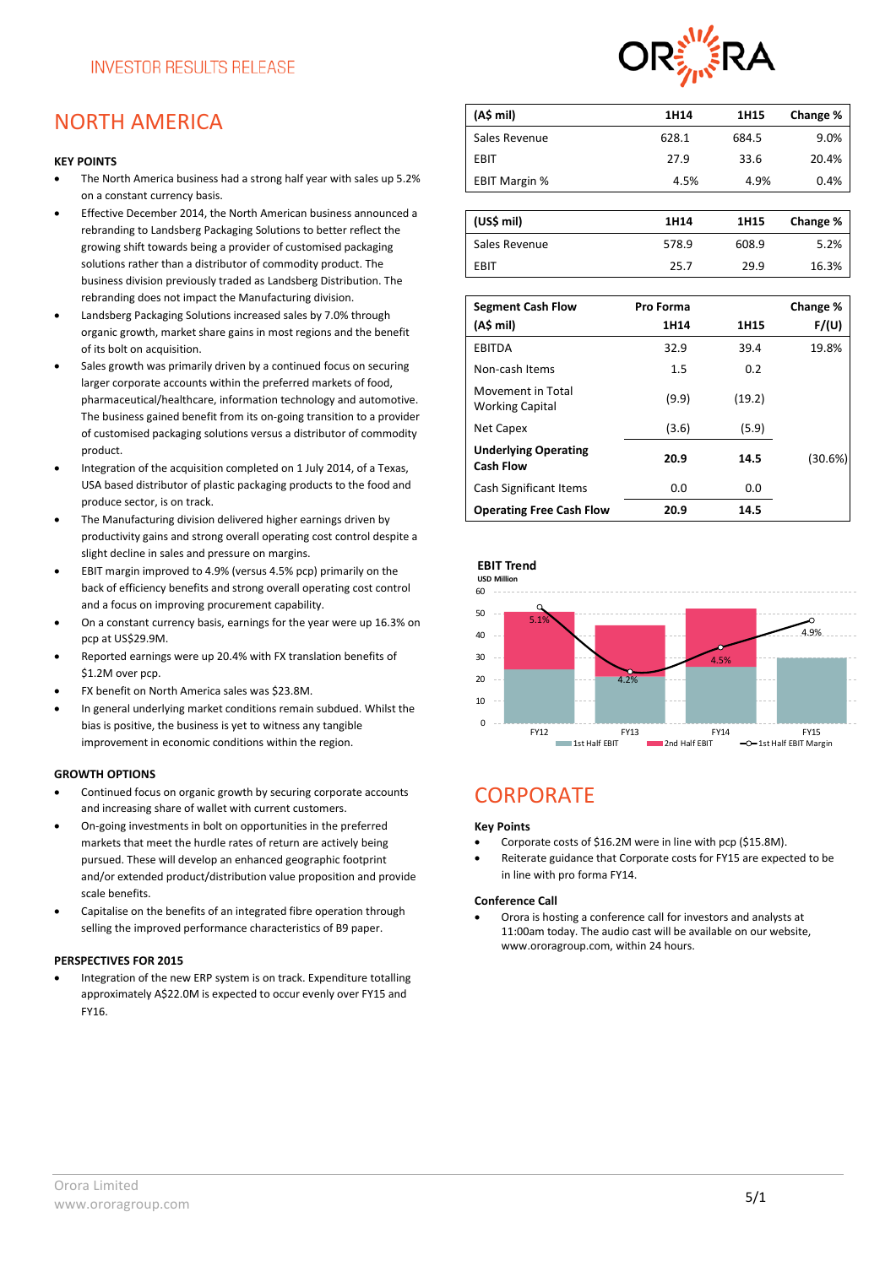### NORTH AMERICA

#### **KEY POINTS**

- The North America business had a strong half year with sales up 5.2% on a constant currency basis.
- Effective December 2014, the North American business announced a rebranding to Landsberg Packaging Solutions to better reflect the growing shift towards being a provider of customised packaging solutions rather than a distributor of commodity product. The business division previously traded as Landsberg Distribution. The rebranding does not impact the Manufacturing division.
- Landsberg Packaging Solutions increased sales by 7.0% through organic growth, market share gains in most regions and the benefit of its bolt on acquisition.
- Sales growth was primarily driven by a continued focus on securing larger corporate accounts within the preferred markets of food, pharmaceutical/healthcare, information technology and automotive. The business gained benefit from its on-going transition to a provider of customised packaging solutions versus a distributor of commodity product.
- Integration of the acquisition completed on 1 July 2014, of a Texas, USA based distributor of plastic packaging products to the food and produce sector, is on track.
- The Manufacturing division delivered higher earnings driven by productivity gains and strong overall operating cost control despite a slight decline in sales and pressure on margins.
- EBIT margin improved to 4.9% (versus 4.5% pcp) primarily on the back of efficiency benefits and strong overall operating cost control and a focus on improving procurement capability.
- On a constant currency basis, earnings for the year were up 16.3% on pcp at US\$29.9M.
- Reported earnings were up 20.4% with FX translation benefits of \$1.2M over pcp.
- FX benefit on North America sales was \$23.8M.
- In general underlying market conditions remain subdued. Whilst the bias is positive, the business is yet to witness any tangible improvement in economic conditions within the region.

#### **GROWTH OPTIONS**

- Continued focus on organic growth by securing corporate accounts and increasing share of wallet with current customers.
- On-going investments in bolt on opportunities in the preferred markets that meet the hurdle rates of return are actively being pursued. These will develop an enhanced geographic footprint and/or extended product/distribution value proposition and provide scale benefits.
- Capitalise on the benefits of an integrated fibre operation through selling the improved performance characteristics of B9 paper.

#### **PERSPECTIVES FOR 2015**

• Integration of the new ERP system is on track. Expenditure totalling approximately A\$22.0M is expected to occur evenly over FY15 and FY16.



| (A\$ mil)            | 1H14  | 1H15  | Change % |
|----------------------|-------|-------|----------|
| Sales Revenue        | 628.1 | 684.5 | 9.0%     |
| EBIT                 | 27.9  | 33.6  | 20.4%    |
| <b>EBIT Margin %</b> | 4.5%  | 4.9%  | 0.4%     |
|                      |       |       |          |

| (US\$ mil)    | 1H14  | 1H15  | Change % |
|---------------|-------|-------|----------|
| Sales Revenue | 578.9 | 608.9 | 5.2%     |
| EBIT          | 25.7  | 29.9  | 16.3%    |

| <b>Segment Cash Flow</b><br>(A\$ mi)            | Pro Forma<br>1H14 | 1H15   | Change %<br>F/(U) |
|-------------------------------------------------|-------------------|--------|-------------------|
|                                                 |                   |        |                   |
| EBITDA                                          | 32.9              | 39.4   | 19.8%             |
| Non-cash Items                                  | 1.5               | 0.2    |                   |
| Movement in Total<br><b>Working Capital</b>     | (9.9)             | (19.2) |                   |
| Net Capex                                       | (3.6)             | (5.9)  |                   |
| <b>Underlying Operating</b><br><b>Cash Flow</b> | 20.9              | 14.5   | (30.6%)           |
| Cash Significant Items                          | 0.0               | 0.0    |                   |
| <b>Operating Free Cash Flow</b>                 | 20.9              | 14.5   |                   |



## **CORPORATE**

#### **Key Points**

- Corporate costs of \$16.2M were in line with pcp (\$15.8M).
- Reiterate guidance that Corporate costs for FY15 are expected to be in line with pro forma FY14.

#### **Conference Call**

• Orora is hosting a conference call for investors and analysts at 11:00am today. The audio cast will be available on our website, [www.ororagroup.com,](http://www.ororagroup.com/) within 24 hours.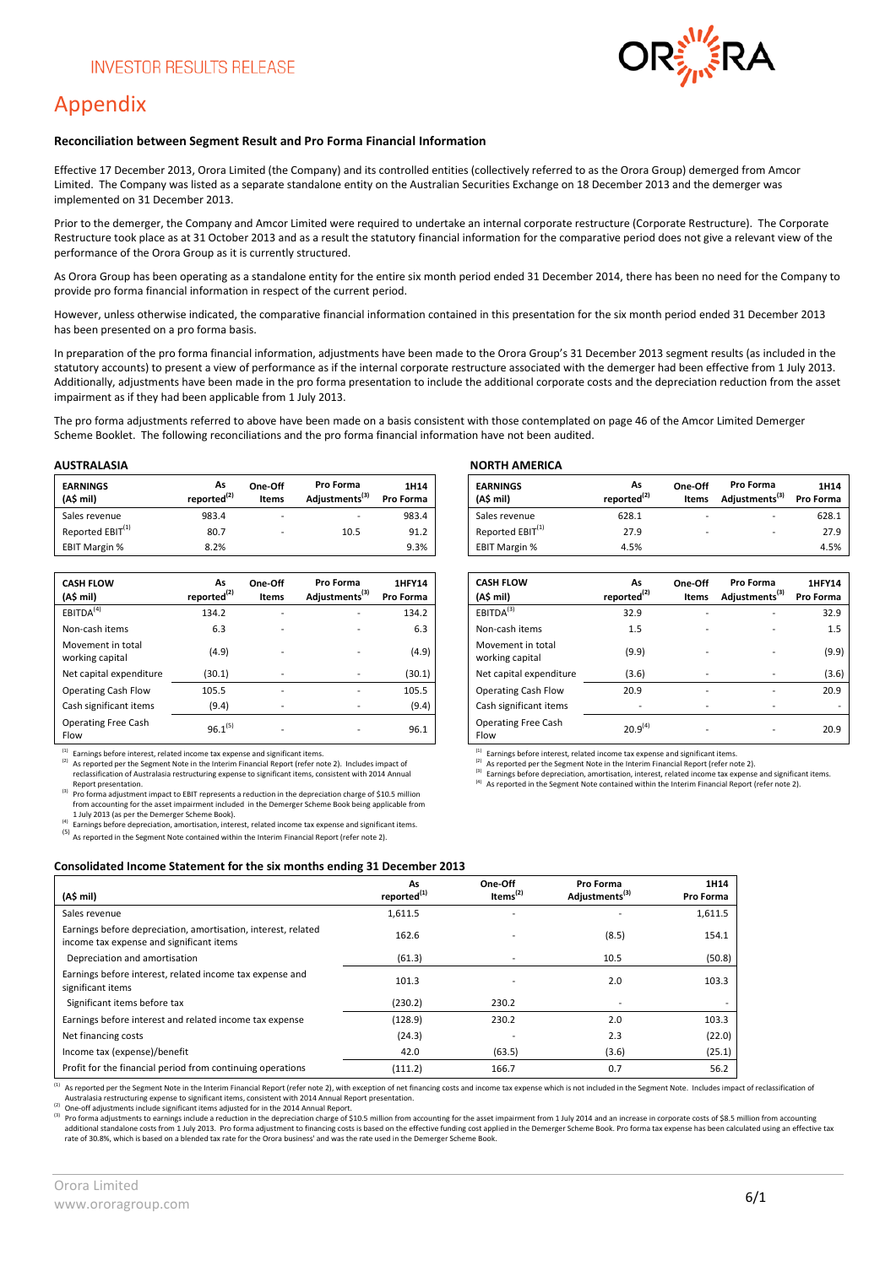

### Appendix

#### **Reconciliation between Segment Result and Pro Forma Financial Information**

Effective 17 December 2013, Orora Limited (the Company) and its controlled entities (collectively referred to as the Orora Group) demerged from Amcor Limited. The Company was listed as a separate standalone entity on the Australian Securities Exchange on 18 December 2013 and the demerger was implemented on 31 December 2013.

Prior to the demerger, the Company and Amcor Limited were required to undertake an internal corporate restructure (Corporate Restructure). The Corporate Restructure took place as at 31 October 2013 and as a result the statutory financial information for the comparative period does not give a relevant view of the performance of the Orora Group as it is currently structured.

As Orora Group has been operating as a standalone entity for the entire six month period ended 31 December 2014, there has been no need for the Company to provide pro forma financial information in respect of the current period.

However, unless otherwise indicated, the comparative financial information contained in this presentation for the six month period ended 31 December 2013 has been presented on a pro forma basis.

In preparation of the pro forma financial information, adjustments have been made to the Orora Group's 31 December 2013 segment results (as included in the statutory accounts) to present a view of performance as if the internal corporate restructure associated with the demerger had been effective from 1 July 2013. Additionally, adjustments have been made in the pro forma presentation to include the additional corporate costs and the depreciation reduction from the asset impairment as if they had been applicable from 1 July 2013.

The pro forma adjustments referred to above have been made on a basis consistent with those contemplated on page 46 of the Amcor Limited Demerger Scheme Booklet. The following reconciliations and the pro forma financial information have not been audited.

| <b>EARNINGS</b><br>(A\$ mil) | As<br>reported <sup>(2)</sup> | One-Off<br>Items         | <b>Pro Forma</b><br>Adjustments <sup>(3)</sup> | 1H14<br>Pro Forma |
|------------------------------|-------------------------------|--------------------------|------------------------------------------------|-------------------|
| Sales revenue                | 983.4                         | $\overline{\phantom{0}}$ |                                                | 983.4             |
| Reported EBIT <sup>(1)</sup> | 80.7                          |                          | 10.5                                           | 91.2              |
| <b>EBIT Margin %</b>         | 8.2%                          |                          |                                                | 9.3%              |

| <b>CASH FLOW</b><br>(A\$ mil)        | As<br>reported <sup>(2)</sup> | One-Off<br>Items         | Pro Forma<br>Adiustments <sup>(3)</sup> | <b>1HFY14</b><br>Pro Forma |
|--------------------------------------|-------------------------------|--------------------------|-----------------------------------------|----------------------------|
| EBITDA <sup>(4)</sup>                | 134.2                         | $\overline{\phantom{0}}$ | $\overline{\phantom{a}}$                | 134.2                      |
| Non-cash items                       | 6.3                           | $\overline{\phantom{a}}$ | $\overline{\phantom{0}}$                | 6.3                        |
| Movement in total<br>working capital | (4.9)                         |                          |                                         | (4.9)                      |
| Net capital expenditure              | (30.1)                        | $\overline{\phantom{a}}$ | $\overline{\phantom{a}}$                | (30.1)                     |
| <b>Operating Cash Flow</b>           | 105.5                         | $\overline{\phantom{0}}$ | $\overline{\phantom{a}}$                | 105.5                      |
| Cash significant items               | (9.4)                         | $\overline{\phantom{a}}$ | $\overline{\phantom{0}}$                | (9.4)                      |
| <b>Operating Free Cash</b><br>Flow   | $96.1^{(5)}$                  | $\overline{\phantom{0}}$ |                                         | 96.1                       |

<sup>(1)</sup> Earnings before interest, related income tax expense and significant items.<br><sup>(2)</sup> As reported per the Segment Note in the Interim Financial Report (refer note 2). Includes impact of reclassification of Australasia restructuring expense to significant items, consistent with 2014 Annual Report presentation.

(3) Pro forma adjustment impact to EBIT represents a reduction in the depreciation charge of \$10.5 million from accounting for the asset impairment included in the Demerger Scheme Book being applicable from 1 July 2013 (as per the Demerger Scheme Book).

 $\overline{a}$  Earnings before depreciation, amortisation, interest, related income tax expense and significant items.

(5) As reported in the Segment Note contained within the Interim Financial Report (refer note 2).

#### **AUSTRALASIA NORTH AMERICA**

| <b>EARNINGS</b><br>(A\$ mil) | As<br>reported <sup>(2)</sup> | One-Off<br><b>Items</b> | <b>Pro Forma</b><br>Adiustments <sup>(3)</sup> | 1H14<br>Pro Forma | <b>EARNINGS</b><br>(AS mil)  | As<br>reported <sup>(2)</sup> | One-Off<br>Items | <b>Pro Forma</b><br>Adiustments <sup>(3)</sup> | 1H14<br>Pro Forma |
|------------------------------|-------------------------------|-------------------------|------------------------------------------------|-------------------|------------------------------|-------------------------------|------------------|------------------------------------------------|-------------------|
| Sales revenue                | 983.4                         |                         |                                                | 983.4             | Sales revenue                | 628.1                         |                  | $\overline{\phantom{0}}$                       | 628.1             |
| Reported EBIT <sup>(1)</sup> | 80.7                          |                         | 10.5                                           | 91.2              | Reported EBIT <sup>(1)</sup> | 27.9                          |                  |                                                | 27.9              |
| EBIT Margin %                | 8.2%                          |                         |                                                | 9.3%              | <b>EBIT Margin %</b>         | 4.5%                          |                  |                                                | 4.5%              |

| As<br>reported <sup>(2)</sup> | One-Off<br>Items         | Pro Forma<br>Adjustments <sup>(3)</sup> | 1HFY14<br>Pro Forma | <b>CASH FLOW</b><br>(A\$ mil)        | As<br>reported <sup>(2)</sup> | One-Off<br>Items         | Pro Forma<br>Adjustments <sup>(3)</sup> | 1HFY14<br>Pro Forma |
|-------------------------------|--------------------------|-----------------------------------------|---------------------|--------------------------------------|-------------------------------|--------------------------|-----------------------------------------|---------------------|
| 134.2                         | $\overline{\phantom{a}}$ | $\overline{\phantom{a}}$                | 134.2               | EBITDA <sup>(3)</sup>                | 32.9                          | ۰                        | $\overline{\phantom{a}}$                | 32.9                |
| 6.3                           | $\overline{\phantom{0}}$ |                                         | 6.3                 | Non-cash items                       | 1.5                           |                          | $\overline{\phantom{a}}$                | 1.5                 |
| (4.9)                         |                          |                                         | (4.9)               | Movement in total<br>working capital | (9.9)                         |                          |                                         | (9.9)               |
| (30.1)                        | $\overline{\phantom{a}}$ | $\overline{\phantom{0}}$                | (30.1)              | Net capital expenditure              | (3.6)                         | $\overline{\phantom{a}}$ |                                         | (3.6)               |
| 105.5                         | -                        |                                         | 105.5               | <b>Operating Cash Flow</b>           | 20.9                          | ۰                        | $\overline{\phantom{a}}$                | 20.9                |
| (9.4)                         | $\overline{a}$           | $\overline{\phantom{a}}$                | (9.4)               | Cash significant items               |                               | $\overline{\phantom{a}}$ |                                         |                     |
| $96.1^{(5)}$                  | $\overline{\phantom{0}}$ |                                         | 96.1                | <b>Operating Free Cash</b><br>Flow   | $20.9^{(4)}$                  | $\overline{\phantom{0}}$ |                                         | 20.9                |

(1) Earnings before interest, related income tax expense and significant items.

(2) As reported per the Segment Note in the Interim Financial Report (refer note 2).

(3) Earnings before depreciation, amortisation, interest, related income tax expense and significant items.

(4) As reported in the Segment Note contained within the Interim Financial Report (refer note 2).

#### **Consolidated Income Statement for the six months ending 31 December 2013**

| (A\$ mil)                                                                                                 | As<br>reported <sup>(1)</sup> | One-Off<br>Items $(2)$ | Pro Forma<br>Adjustments <sup>(3)</sup> | 1H14<br>Pro Forma |
|-----------------------------------------------------------------------------------------------------------|-------------------------------|------------------------|-----------------------------------------|-------------------|
| Sales revenue                                                                                             | 1,611.5                       |                        |                                         | 1,611.5           |
| Earnings before depreciation, amortisation, interest, related<br>income tax expense and significant items | 162.6                         |                        | (8.5)                                   | 154.1             |
| Depreciation and amortisation                                                                             | (61.3)                        |                        | 10.5                                    | (50.8)            |
| Earnings before interest, related income tax expense and<br>significant items                             | 101.3                         |                        | 2.0                                     | 103.3             |
| Significant items before tax                                                                              | (230.2)                       | 230.2                  |                                         |                   |
| Earnings before interest and related income tax expense                                                   | (128.9)                       | 230.2                  | 2.0                                     | 103.3             |
| Net financing costs                                                                                       | (24.3)                        |                        | 2.3                                     | (22.0)            |
| Income tax (expense)/benefit                                                                              | 42.0                          | (63.5)                 | (3.6)                                   | (25.1)            |
| Profit for the financial period from continuing operations                                                | (111.2)                       | 166.7                  | 0.7                                     | 56.2              |

(1) As reported per the Segment Note in the Interim Financial Report (refer note 2), with exception of net financing costs and income tax expense which is not included in the Segment Note. Includes impact of reclassificati Australasia restructuring expense to significant items, consistent with 2014 Annual Report presentation.

(2) One-off adjustments include significant items adjusted for in the 2014 Annual Report.

<sup>(3)</sup> Pro forma adjustments to earnings include a reduction in the depreciation charge of \$10.5 million from accounting for the asset impairment from 1 July 2014 and an increase in corporate costs of \$8.5 million from acco rate of 30.8%, which is based on a blended tax rate for the Orora business' and was the rate used in the Demerger Scheme Book.